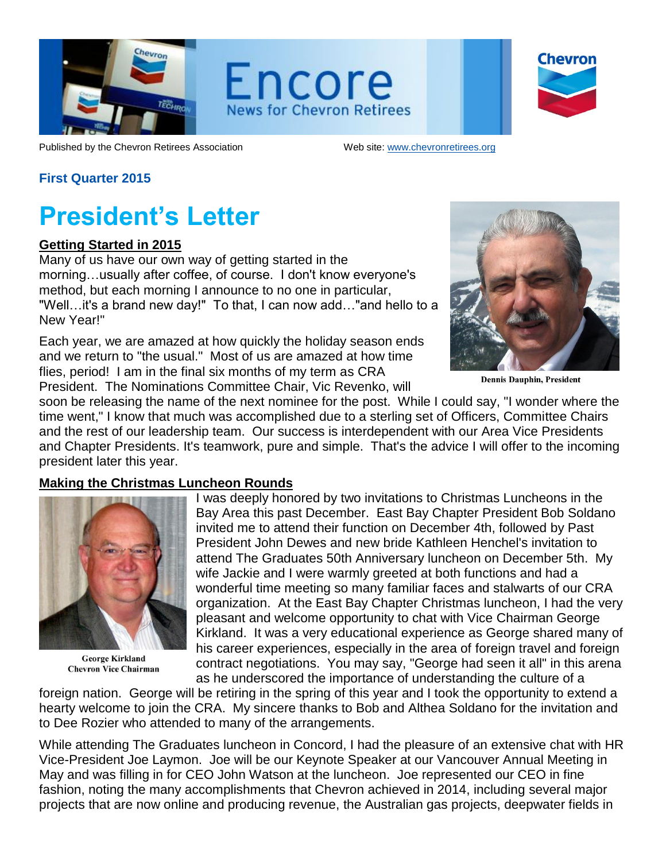

Encore **News for Chevron Retirees** 

| <b>Chevron</b> |
|----------------|
|                |
|                |

Published by the Chevron Retirees Association Web site: [www.chevronretirees.org](http://www.chevronretirees.org/)

#### **First Quarter 2015**

## **President's Letter**

#### **Getting Started in 2015**

Many of us have our own way of getting started in the morning…usually after coffee, of course. I don't know everyone's method, but each morning I announce to no one in particular, "Well…it's a brand new day!" To that, I can now add…"and hello to a New Year!"

Each year, we are amazed at how quickly the holiday season ends and we return to "the usual." Most of us are amazed at how time flies, period! I am in the final six months of my term as CRA President. The Nominations Committee Chair, Vic Revenko, will



**Dennis Dauphin, President** 

soon be releasing the name of the next nominee for the post. While I could say, "I wonder where the time went," I know that much was accomplished due to a sterling set of Officers, Committee Chairs and the rest of our leadership team. Our success is interdependent with our Area Vice Presidents and Chapter Presidents. It's teamwork, pure and simple. That's the advice I will offer to the incoming president later this year.

#### **Making the Christmas Luncheon Rounds**



**George Kirkland Chevron Vice Chairman** 

I was deeply honored by two invitations to Christmas Luncheons in the Bay Area this past December. East Bay Chapter President Bob Soldano invited me to attend their function on December 4th, followed by Past President John Dewes and new bride Kathleen Henchel's invitation to attend The Graduates 50th Anniversary luncheon on December 5th. My wife Jackie and I were warmly greeted at both functions and had a wonderful time meeting so many familiar faces and stalwarts of our CRA organization. At the East Bay Chapter Christmas luncheon, I had the very pleasant and welcome opportunity to chat with Vice Chairman George Kirkland. It was a very educational experience as George shared many of his career experiences, especially in the area of foreign travel and foreign contract negotiations. You may say, "George had seen it all" in this arena as he underscored the importance of understanding the culture of a

foreign nation. George will be retiring in the spring of this year and I took the opportunity to extend a hearty welcome to join the CRA. My sincere thanks to Bob and Althea Soldano for the invitation and to Dee Rozier who attended to many of the arrangements.

While attending The Graduates luncheon in Concord, I had the pleasure of an extensive chat with HR Vice-President Joe Laymon. Joe will be our Keynote Speaker at our Vancouver Annual Meeting in May and was filling in for CEO John Watson at the luncheon. Joe represented our CEO in fine fashion, noting the many accomplishments that Chevron achieved in 2014, including several major projects that are now online and producing revenue, the Australian gas projects, deepwater fields in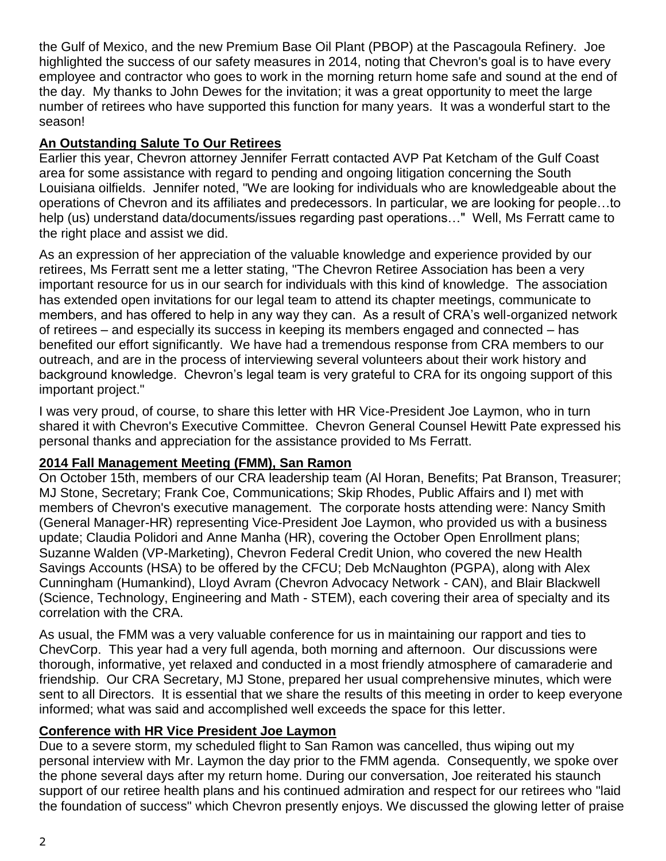the Gulf of Mexico, and the new Premium Base Oil Plant (PBOP) at the Pascagoula Refinery. Joe highlighted the success of our safety measures in 2014, noting that Chevron's goal is to have every employee and contractor who goes to work in the morning return home safe and sound at the end of the day. My thanks to John Dewes for the invitation; it was a great opportunity to meet the large number of retirees who have supported this function for many years. It was a wonderful start to the season!

## **An Outstanding Salute To Our Retirees**

Earlier this year, Chevron attorney Jennifer Ferratt contacted AVP Pat Ketcham of the Gulf Coast area for some assistance with regard to pending and ongoing litigation concerning the South Louisiana oilfields. Jennifer noted, "We are looking for individuals who are knowledgeable about the operations of Chevron and its affiliates and predecessors. In particular, we are looking for people…to help (us) understand data/documents/issues regarding past operations…" Well, Ms Ferratt came to the right place and assist we did.

As an expression of her appreciation of the valuable knowledge and experience provided by our retirees, Ms Ferratt sent me a letter stating, "The Chevron Retiree Association has been a very important resource for us in our search for individuals with this kind of knowledge. The association has extended open invitations for our legal team to attend its chapter meetings, communicate to members, and has offered to help in any way they can. As a result of CRA's well-organized network of retirees – and especially its success in keeping its members engaged and connected – has benefited our effort significantly. We have had a tremendous response from CRA members to our outreach, and are in the process of interviewing several volunteers about their work history and background knowledge. Chevron's legal team is very grateful to CRA for its ongoing support of this important project."

I was very proud, of course, to share this letter with HR Vice-President Joe Laymon, who in turn shared it with Chevron's Executive Committee. Chevron General Counsel Hewitt Pate expressed his personal thanks and appreciation for the assistance provided to Ms Ferratt.

### **2014 Fall Management Meeting (FMM), San Ramon**

On October 15th, members of our CRA leadership team (Al Horan, Benefits; Pat Branson, Treasurer; MJ Stone, Secretary; Frank Coe, Communications; Skip Rhodes, Public Affairs and I) met with members of Chevron's executive management. The corporate hosts attending were: Nancy Smith (General Manager-HR) representing Vice-President Joe Laymon, who provided us with a business update; Claudia Polidori and Anne Manha (HR), covering the October Open Enrollment plans; Suzanne Walden (VP-Marketing), Chevron Federal Credit Union, who covered the new Health Savings Accounts (HSA) to be offered by the CFCU; Deb McNaughton (PGPA), along with Alex Cunningham (Humankind), Lloyd Avram (Chevron Advocacy Network - CAN), and Blair Blackwell (Science, Technology, Engineering and Math - STEM), each covering their area of specialty and its correlation with the CRA.

As usual, the FMM was a very valuable conference for us in maintaining our rapport and ties to ChevCorp. This year had a very full agenda, both morning and afternoon. Our discussions were thorough, informative, yet relaxed and conducted in a most friendly atmosphere of camaraderie and friendship. Our CRA Secretary, MJ Stone, prepared her usual comprehensive minutes, which were sent to all Directors. It is essential that we share the results of this meeting in order to keep everyone informed; what was said and accomplished well exceeds the space for this letter.

### **Conference with HR Vice President Joe Laymon**

Due to a severe storm, my scheduled flight to San Ramon was cancelled, thus wiping out my personal interview with Mr. Laymon the day prior to the FMM agenda. Consequently, we spoke over the phone several days after my return home. During our conversation, Joe reiterated his staunch support of our retiree health plans and his continued admiration and respect for our retirees who "laid the foundation of success" which Chevron presently enjoys. We discussed the glowing letter of praise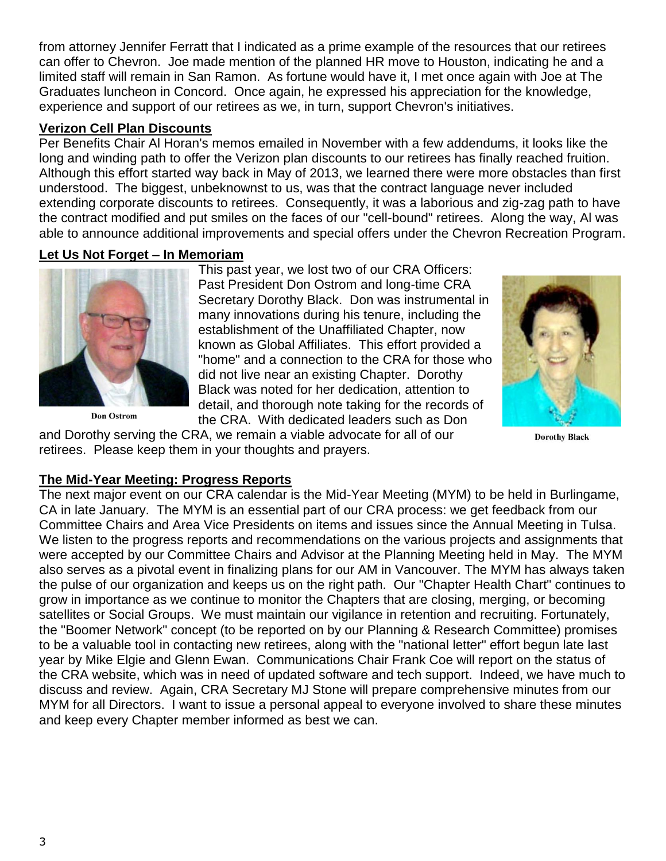from attorney Jennifer Ferratt that I indicated as a prime example of the resources that our retirees can offer to Chevron. Joe made mention of the planned HR move to Houston, indicating he and a limited staff will remain in San Ramon. As fortune would have it, I met once again with Joe at The Graduates luncheon in Concord. Once again, he expressed his appreciation for the knowledge, experience and support of our retirees as we, in turn, support Chevron's initiatives.

#### **Verizon Cell Plan Discounts**

Per Benefits Chair Al Horan's memos emailed in November with a few addendums, it looks like the long and winding path to offer the Verizon plan discounts to our retirees has finally reached fruition. Although this effort started way back in May of 2013, we learned there were more obstacles than first understood. The biggest, unbeknownst to us, was that the contract language never included extending corporate discounts to retirees. Consequently, it was a laborious and zig-zag path to have the contract modified and put smiles on the faces of our "cell-bound" retirees. Along the way, Al was able to announce additional improvements and special offers under the Chevron Recreation Program.

#### **Let Us Not Forget – In Memoriam**



**Don Ostrom** 

This past year, we lost two of our CRA Officers: Past President Don Ostrom and long-time CRA Secretary Dorothy Black. Don was instrumental in many innovations during his tenure, including the establishment of the Unaffiliated Chapter, now known as Global Affiliates. This effort provided a "home" and a connection to the CRA for those who did not live near an existing Chapter. Dorothy Black was noted for her dedication, attention to detail, and thorough note taking for the records of the CRA. With dedicated leaders such as Don

and Dorothy serving the CRA, we remain a viable advocate for all of our retirees. Please keep them in your thoughts and prayers.



**Dorothy Black** 

### **The Mid-Year Meeting: Progress Reports**

The next major event on our CRA calendar is the Mid-Year Meeting (MYM) to be held in Burlingame, CA in late January. The MYM is an essential part of our CRA process: we get feedback from our Committee Chairs and Area Vice Presidents on items and issues since the Annual Meeting in Tulsa. We listen to the progress reports and recommendations on the various projects and assignments that were accepted by our Committee Chairs and Advisor at the Planning Meeting held in May. The MYM also serves as a pivotal event in finalizing plans for our AM in Vancouver. The MYM has always taken the pulse of our organization and keeps us on the right path. Our "Chapter Health Chart" continues to grow in importance as we continue to monitor the Chapters that are closing, merging, or becoming satellites or Social Groups. We must maintain our vigilance in retention and recruiting. Fortunately, the "Boomer Network" concept (to be reported on by our Planning & Research Committee) promises to be a valuable tool in contacting new retirees, along with the "national letter" effort begun late last year by Mike Elgie and Glenn Ewan. Communications Chair Frank Coe will report on the status of the CRA website, which was in need of updated software and tech support. Indeed, we have much to discuss and review. Again, CRA Secretary MJ Stone will prepare comprehensive minutes from our MYM for all Directors. I want to issue a personal appeal to everyone involved to share these minutes and keep every Chapter member informed as best we can.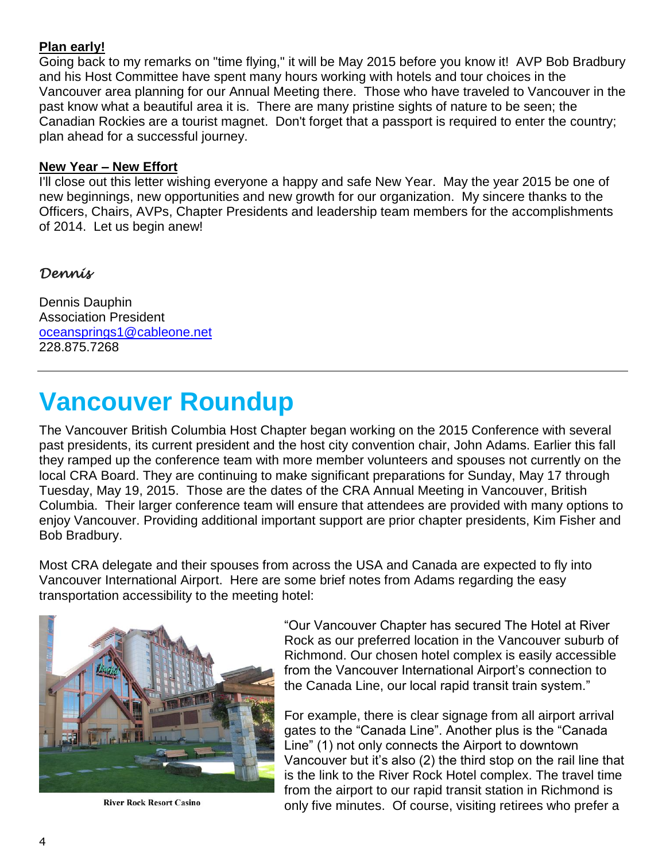### **Plan early!**

Going back to my remarks on "time flying," it will be May 2015 before you know it! AVP Bob Bradbury and his Host Committee have spent many hours working with hotels and tour choices in the Vancouver area planning for our Annual Meeting there. Those who have traveled to Vancouver in the past know what a beautiful area it is. There are many pristine sights of nature to be seen; the Canadian Rockies are a tourist magnet. Don't forget that a passport is required to enter the country; plan ahead for a successful journey.

#### **New Year – New Effort**

I'll close out this letter wishing everyone a happy and safe New Year. May the year 2015 be one of new beginnings, new opportunities and new growth for our organization. My sincere thanks to the Officers, Chairs, AVPs, Chapter Presidents and leadership team members for the accomplishments of 2014. Let us begin anew!

## *Dennis*

Dennis Dauphin Association President [oceansprings1@cableone.net](mailto:oceansprings1@cableone.net) 228.875.7268

# **Vancouver Roundup**

The Vancouver British Columbia Host Chapter began working on the 2015 Conference with several past presidents, its current president and the host city convention chair, John Adams. Earlier this fall they ramped up the conference team with more member volunteers and spouses not currently on the local CRA Board. They are continuing to make significant preparations for Sunday, May 17 through Tuesday, May 19, 2015. Those are the dates of the CRA Annual Meeting in Vancouver, British Columbia. Their larger conference team will ensure that attendees are provided with many options to enjoy Vancouver. Providing additional important support are prior chapter presidents, Kim Fisher and Bob Bradbury.

Most CRA delegate and their spouses from across the USA and Canada are expected to fly into Vancouver International Airport. Here are some brief notes from Adams regarding the easy transportation accessibility to the meeting hotel:



**River Rock Resort Casino** 

"Our Vancouver Chapter has secured The Hotel at River Rock as our preferred location in the Vancouver suburb of Richmond. Our chosen hotel complex is easily accessible from the Vancouver International Airport's connection to the Canada Line, our local rapid transit train system."

For example, there is clear signage from all airport arrival gates to the "Canada Line". Another plus is the "Canada Line" (1) not only connects the Airport to downtown Vancouver but it's also (2) the third stop on the rail line that is the link to the River Rock Hotel complex. The travel time from the airport to our rapid transit station in Richmond is only five minutes. Of course, visiting retirees who prefer a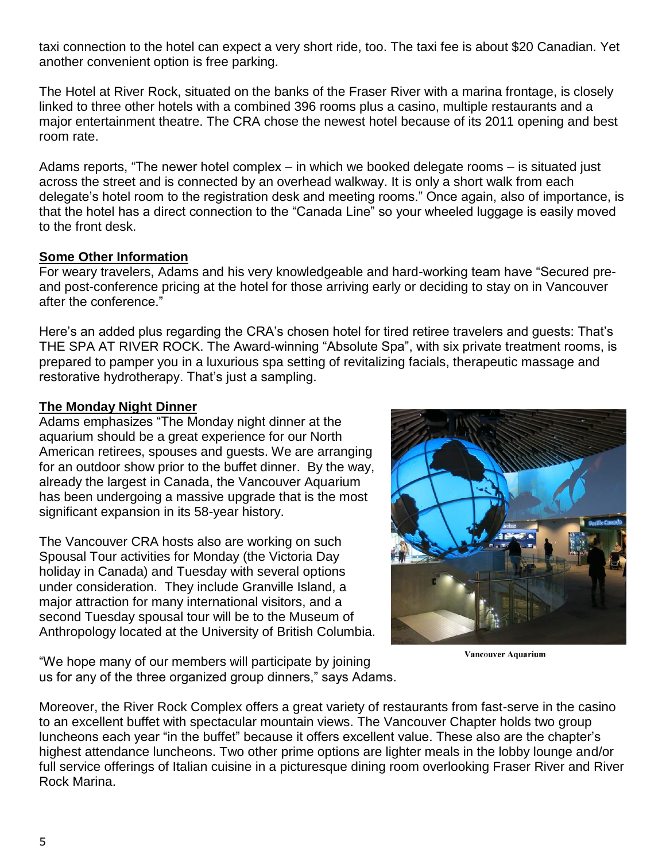taxi connection to the hotel can expect a very short ride, too. The taxi fee is about \$20 Canadian. Yet another convenient option is free parking.

The Hotel at River Rock, situated on the banks of the Fraser River with a marina frontage, is closely linked to three other hotels with a combined 396 rooms plus a casino, multiple restaurants and a major entertainment theatre. The CRA chose the newest hotel because of its 2011 opening and best room rate.

Adams reports, "The newer hotel complex – in which we booked delegate rooms – is situated just across the street and is connected by an overhead walkway. It is only a short walk from each delegate's hotel room to the registration desk and meeting rooms." Once again, also of importance, is that the hotel has a direct connection to the "Canada Line" so your wheeled luggage is easily moved to the front desk.

#### **Some Other Information**

For weary travelers, Adams and his very knowledgeable and hard-working team have "Secured preand post-conference pricing at the hotel for those arriving early or deciding to stay on in Vancouver after the conference."

Here's an added plus regarding the CRA's chosen hotel for tired retiree travelers and guests: That's THE SPA AT RIVER ROCK. The Award-winning "Absolute Spa", with six private treatment rooms, is prepared to pamper you in a luxurious spa setting of revitalizing facials, therapeutic massage and restorative hydrotherapy. That's just a sampling.

### **The Monday Night Dinner**

Adams emphasizes "The Monday night dinner at the aquarium should be a great experience for our North American retirees, spouses and guests. We are arranging for an outdoor show prior to the buffet dinner. By the way, already the largest in Canada, the Vancouver Aquarium has been undergoing a massive upgrade that is the most significant expansion in its 58-year history.

The Vancouver CRA hosts also are working on such Spousal Tour activities for Monday (the Victoria Day holiday in Canada) and Tuesday with several options under consideration. They include Granville Island, a major attraction for many international visitors, and a second Tuesday spousal tour will be to the Museum of Anthropology located at the University of British Columbia.



**Vancouver Aquarium** 

"We hope many of our members will participate by joining us for any of the three organized group dinners," says Adams.

Moreover, the River Rock Complex offers a great variety of restaurants from fast-serve in the casino to an excellent buffet with spectacular mountain views. The Vancouver Chapter holds two group luncheons each year "in the buffet" because it offers excellent value. These also are the chapter's highest attendance luncheons. Two other prime options are lighter meals in the lobby lounge and/or full service offerings of Italian cuisine in a picturesque dining room overlooking Fraser River and River Rock Marina.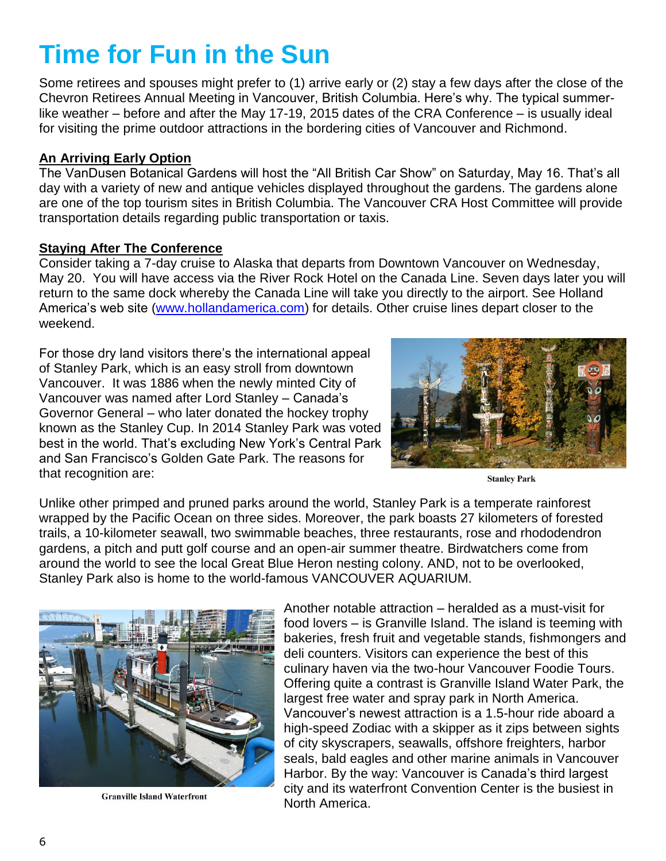# **Time for Fun in the Sun**

Some retirees and spouses might prefer to (1) arrive early or (2) stay a few days after the close of the Chevron Retirees Annual Meeting in Vancouver, British Columbia. Here's why. The typical summerlike weather – before and after the May 17-19, 2015 dates of the CRA Conference – is usually ideal for visiting the prime outdoor attractions in the bordering cities of Vancouver and Richmond.

#### **An Arriving Early Option**

The VanDusen Botanical Gardens will host the "All British Car Show" on Saturday, May 16. That's all day with a variety of new and antique vehicles displayed throughout the gardens. The gardens alone are one of the top tourism sites in British Columbia. The Vancouver CRA Host Committee will provide transportation details regarding public transportation or taxis.

#### **Staying After The Conference**

Consider taking a 7-day cruise to Alaska that departs from Downtown Vancouver on Wednesday, May 20. You will have access via the River Rock Hotel on the Canada Line. Seven days later you will return to the same dock whereby the Canada Line will take you directly to the airport. See Holland America's web site [\(www.hollandamerica.com\)](http://www.hollandamerica.com/) for details. Other cruise lines depart closer to the weekend.

For those dry land visitors there's the international appeal of Stanley Park, which is an easy stroll from downtown Vancouver. It was 1886 when the newly minted City of Vancouver was named after Lord Stanley – Canada's Governor General – who later donated the hockey trophy known as the Stanley Cup. In 2014 Stanley Park was voted best in the world. That's excluding New York's Central Park and San Francisco's Golden Gate Park. The reasons for that recognition are:



**Stanley Park** 

Unlike other primped and pruned parks around the world, Stanley Park is a temperate rainforest wrapped by the Pacific Ocean on three sides. Moreover, the park boasts 27 kilometers of forested trails, a 10-kilometer seawall, two swimmable beaches, three restaurants, rose and rhododendron gardens, a pitch and putt golf course and an open-air summer theatre. Birdwatchers come from around the world to see the local Great Blue Heron nesting colony. AND, not to be overlooked, Stanley Park also is home to the world-famous VANCOUVER AQUARIUM.



**Granville Island Waterfront** 

Another notable attraction – heralded as a must-visit for food lovers – is Granville Island. The island is teeming with bakeries, fresh fruit and vegetable stands, fishmongers and deli counters. Visitors can experience the best of this culinary haven via the two-hour Vancouver Foodie Tours. Offering quite a contrast is Granville Island Water Park, the largest free water and spray park in North America. Vancouver's newest attraction is a 1.5-hour ride aboard a high-speed Zodiac with a skipper as it zips between sights of city skyscrapers, seawalls, offshore freighters, harbor seals, bald eagles and other marine animals in Vancouver Harbor. By the way: Vancouver is Canada's third largest city and its waterfront Convention Center is the busiest in North America.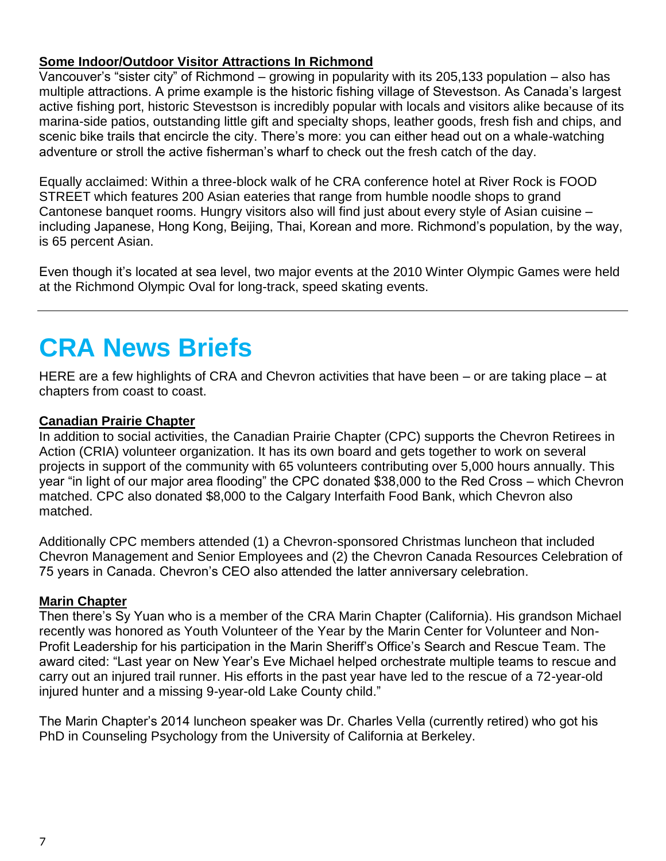### **Some Indoor/Outdoor Visitor Attractions In Richmond**

Vancouver's "sister city" of Richmond – growing in popularity with its 205,133 population – also has multiple attractions. A prime example is the historic fishing village of Stevestson. As Canada's largest active fishing port, historic Stevestson is incredibly popular with locals and visitors alike because of its marina-side patios, outstanding little gift and specialty shops, leather goods, fresh fish and chips, and scenic bike trails that encircle the city. There's more: you can either head out on a whale-watching adventure or stroll the active fisherman's wharf to check out the fresh catch of the day.

Equally acclaimed: Within a three-block walk of he CRA conference hotel at River Rock is FOOD STREET which features 200 Asian eateries that range from humble noodle shops to grand Cantonese banquet rooms. Hungry visitors also will find just about every style of Asian cuisine – including Japanese, Hong Kong, Beijing, Thai, Korean and more. Richmond's population, by the way, is 65 percent Asian.

Even though it's located at sea level, two major events at the 2010 Winter Olympic Games were held at the Richmond Olympic Oval for long-track, speed skating events.

# **CRA News Briefs**

HERE are a few highlights of CRA and Chevron activities that have been – or are taking place – at chapters from coast to coast.

#### **Canadian Prairie Chapter**

In addition to social activities, the Canadian Prairie Chapter (CPC) supports the Chevron Retirees in Action (CRIA) volunteer organization. It has its own board and gets together to work on several projects in support of the community with 65 volunteers contributing over 5,000 hours annually. This year "in light of our major area flooding" the CPC donated \$38,000 to the Red Cross – which Chevron matched. CPC also donated \$8,000 to the Calgary Interfaith Food Bank, which Chevron also matched.

Additionally CPC members attended (1) a Chevron-sponsored Christmas luncheon that included Chevron Management and Senior Employees and (2) the Chevron Canada Resources Celebration of 75 years in Canada. Chevron's CEO also attended the latter anniversary celebration.

### **Marin Chapter**

Then there's Sy Yuan who is a member of the CRA Marin Chapter (California). His grandson Michael recently was honored as Youth Volunteer of the Year by the Marin Center for Volunteer and Non-Profit Leadership for his participation in the Marin Sheriff's Office's Search and Rescue Team. The award cited: "Last year on New Year's Eve Michael helped orchestrate multiple teams to rescue and carry out an injured trail runner. His efforts in the past year have led to the rescue of a 72-year-old injured hunter and a missing 9-year-old Lake County child."

The Marin Chapter's 2014 luncheon speaker was Dr. Charles Vella (currently retired) who got his PhD in Counseling Psychology from the University of California at Berkeley.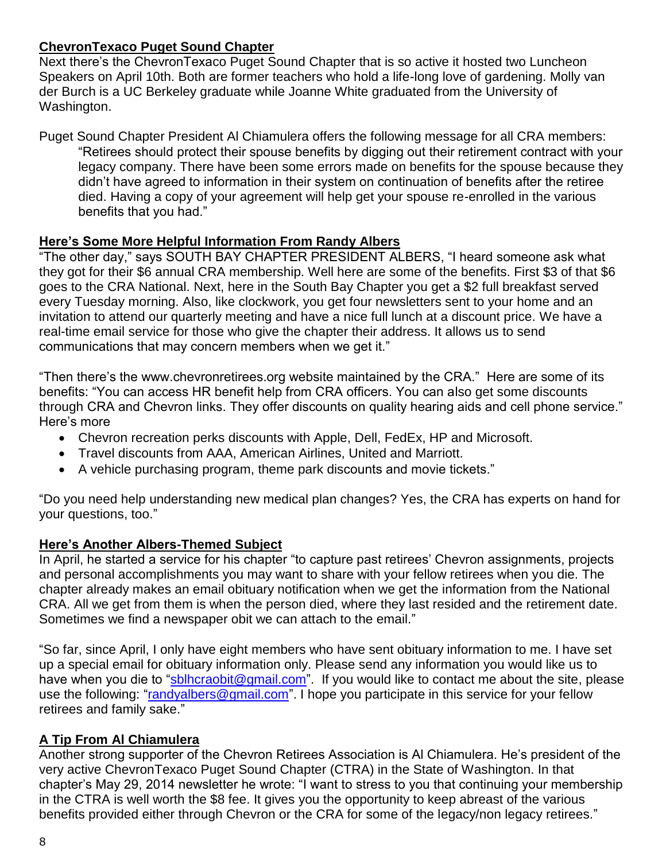## **ChevronTexaco Puget Sound Chapter**

Next there's the ChevronTexaco Puget Sound Chapter that is so active it hosted two Luncheon Speakers on April 10th. Both are former teachers who hold a life-long love of gardening. Molly van der Burch is a UC Berkeley graduate while Joanne White graduated from the University of Washington.

Puget Sound Chapter President Al Chiamulera offers the following message for all CRA members: "Retirees should protect their spouse benefits by digging out their retirement contract with your legacy company. There have been some errors made on benefits for the spouse because they didn't have agreed to information in their system on continuation of benefits after the retiree died. Having a copy of your agreement will help get your spouse re-enrolled in the various benefits that you had."

## **Here's Some More Helpful Information From Randy Albers**

"The other day," says SOUTH BAY CHAPTER PRESIDENT ALBERS, "I heard someone ask what they got for their \$6 annual CRA membership. Well here are some of the benefits. First \$3 of that \$6 goes to the CRA National. Next, here in the South Bay Chapter you get a \$2 full breakfast served every Tuesday morning. Also, like clockwork, you get four newsletters sent to your home and an invitation to attend our quarterly meeting and have a nice full lunch at a discount price. We have a real-time email service for those who give the chapter their address. It allows us to send communications that may concern members when we get it."

"Then there's the www.chevronretirees.org website maintained by the CRA." Here are some of its benefits: "You can access HR benefit help from CRA officers. You can also get some discounts through CRA and Chevron links. They offer discounts on quality hearing aids and cell phone service." Here's more

- Chevron recreation perks discounts with Apple, Dell, FedEx, HP and Microsoft.
- Travel discounts from AAA, American Airlines, United and Marriott.
- A vehicle purchasing program, theme park discounts and movie tickets."

"Do you need help understanding new medical plan changes? Yes, the CRA has experts on hand for your questions, too."

### **Here's Another Albers-Themed Subject**

In April, he started a service for his chapter "to capture past retirees' Chevron assignments, projects and personal accomplishments you may want to share with your fellow retirees when you die. The chapter already makes an email obituary notification when we get the information from the National CRA. All we get from them is when the person died, where they last resided and the retirement date. Sometimes we find a newspaper obit we can attach to the email."

"So far, since April, I only have eight members who have sent obituary information to me. I have set up a special email for obituary information only. Please send any information you would like us to have when you die to ["sblhcraobit@gmail.com"](mailto:sblhcraobit@gmail.com). If you would like to contact me about the site, please use the following: ["randyalbers@gmail.com"](mailto:randyalbers@gmail.com). I hope you participate in this service for your fellow retirees and family sake."

## **A Tip From Al Chiamulera**

Another strong supporter of the Chevron Retirees Association is Al Chiamulera. He's president of the very active ChevronTexaco Puget Sound Chapter (CTRA) in the State of Washington. In that chapter's May 29, 2014 newsletter he wrote: "I want to stress to you that continuing your membership in the CTRA is well worth the \$8 fee. It gives you the opportunity to keep abreast of the various benefits provided either through Chevron or the CRA for some of the legacy/non legacy retirees."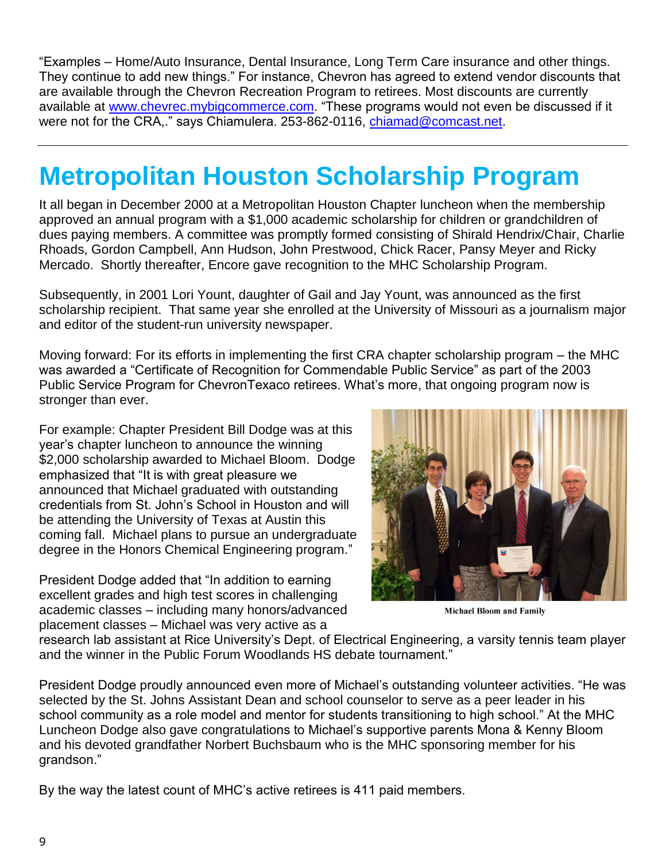"Examples – Home/Auto Insurance, Dental Insurance, Long Term Care insurance and other things. They continue to add new things." For instance, Chevron has agreed to extend vendor discounts that are available through the Chevron Recreation Program to retirees. Most discounts are currently available at [www.chevrec.mybigcommerce.com.](http://www.chevrec.mybigcommerce.com/) "These programs would not even be discussed if it were not for the CRA," says Chiamulera. 253-862-0116, [chiamad@comcast.net.](mailto:chiamad@comcast.net)

# **Metropolitan Houston Scholarship Program**

It all began in December 2000 at a Metropolitan Houston Chapter luncheon when the membership approved an annual program with a \$1,000 academic scholarship for children or grandchildren of dues paying members. A committee was promptly formed consisting of Shirald Hendrix/Chair, Charlie Rhoads, Gordon Campbell, Ann Hudson, John Prestwood, Chick Racer, Pansy Meyer and Ricky Mercado. Shortly thereafter, Encore gave recognition to the MHC Scholarship Program.

Subsequently, in 2001 Lori Yount, daughter of Gail and Jay Yount, was announced as the first scholarship recipient. That same year she enrolled at the University of Missouri as a journalism major and editor of the student-run university newspaper.

Moving forward: For its efforts in implementing the first CRA chapter scholarship program – the MHC was awarded a "Certificate of Recognition for Commendable Public Service" as part of the 2003 Public Service Program for ChevronTexaco retirees. What's more, that ongoing program now is stronger than ever.

For example: Chapter President Bill Dodge was at this year's chapter luncheon to announce the winning \$2,000 scholarship awarded to Michael Bloom. Dodge emphasized that "It is with great pleasure we announced that Michael graduated with outstanding credentials from St. John's School in Houston and will be attending the University of Texas at Austin this coming fall. Michael plans to pursue an undergraduate degree in the Honors Chemical Engineering program."

President Dodge added that "In addition to earning excellent grades and high test scores in challenging academic classes – including many honors/advanced placement classes – Michael was very active as a



**Michael Bloom and Family** 

research lab assistant at Rice University's Dept. of Electrical Engineering, a varsity tennis team player and the winner in the Public Forum Woodlands HS debate tournament."

President Dodge proudly announced even more of Michael's outstanding volunteer activities. "He was selected by the St. Johns Assistant Dean and school counselor to serve as a peer leader in his school community as a role model and mentor for students transitioning to high school." At the MHC Luncheon Dodge also gave congratulations to Michael's supportive parents Mona & Kenny Bloom and his devoted grandfather Norbert Buchsbaum who is the MHC sponsoring member for his grandson."

By the way the latest count of MHC's active retirees is 411 paid members.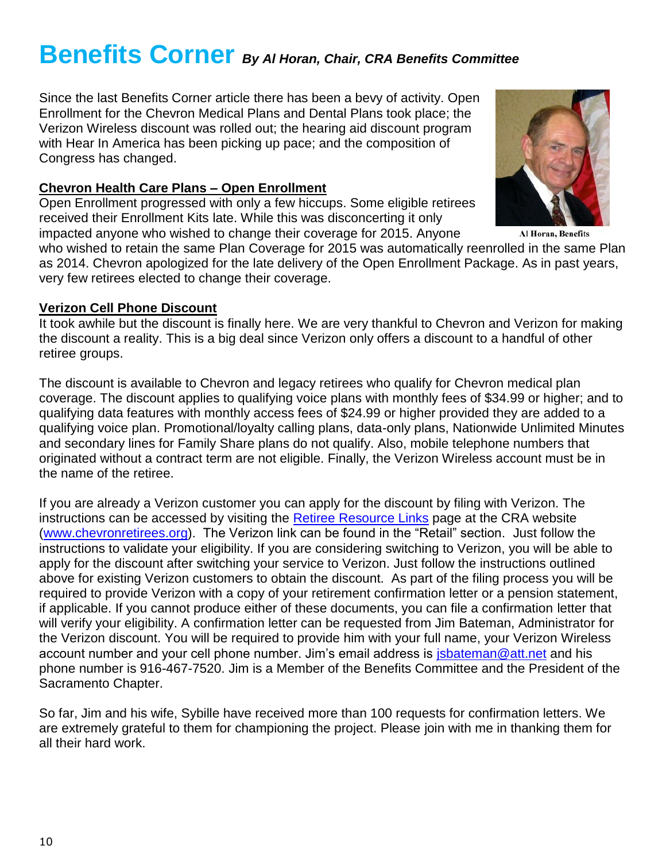## **Benefits Corner** *By Al Horan, Chair, CRA Benefits Committee*

Since the last Benefits Corner article there has been a bevy of activity. Open Enrollment for the Chevron Medical Plans and Dental Plans took place; the Verizon Wireless discount was rolled out; the hearing aid discount program with Hear In America has been picking up pace; and the composition of Congress has changed.

#### **Chevron Health Care Plans – Open Enrollment**

Open Enrollment progressed with only a few hiccups. Some eligible retirees received their Enrollment Kits late. While this was disconcerting it only impacted anyone who wished to change their coverage for 2015. Anyone

who wished to retain the same Plan Coverage for 2015 was automatically reenrolled in the same Plan as 2014. Chevron apologized for the late delivery of the Open Enrollment Package. As in past years, very few retirees elected to change their coverage.

#### **Verizon Cell Phone Discount**

It took awhile but the discount is finally here. We are very thankful to Chevron and Verizon for making the discount a reality. This is a big deal since Verizon only offers a discount to a handful of other retiree groups.

The discount is available to Chevron and legacy retirees who qualify for Chevron medical plan coverage. The discount applies to qualifying voice plans with monthly fees of \$34.99 or higher; and to qualifying data features with monthly access fees of \$24.99 or higher provided they are added to a qualifying voice plan. Promotional/loyalty calling plans, data-only plans, Nationwide Unlimited Minutes and secondary lines for Family Share plans do not qualify. Also, mobile telephone numbers that originated without a contract term are not eligible. Finally, the Verizon Wireless account must be in the name of the retiree.

If you are already a Verizon customer you can apply for the discount by filing with Verizon. The instructions can be accessed by visiting the [Retiree Resource Links](http://www.chevronretirees.org/ToolsResourcesGroup/RetireeResourceLinks.aspx) page at the CRA website [\(www.chevronretirees.org\)](http://www.chevronretirees.org/). The Verizon link can be found in the "Retail" section. Just follow the instructions to validate your eligibility. If you are considering switching to Verizon, you will be able to apply for the discount after switching your service to Verizon. Just follow the instructions outlined above for existing Verizon customers to obtain the discount. As part of the filing process you will be required to provide Verizon with a copy of your retirement confirmation letter or a pension statement, if applicable. If you cannot produce either of these documents, you can file a confirmation letter that will verify your eligibility. A confirmation letter can be requested from Jim Bateman, Administrator for the Verizon discount. You will be required to provide him with your full name, your Verizon Wireless account number and your cell phone number. Jim's email address is [jsbateman@att.net](mailto:jsbateman@att.net) and his phone number is 916-467-7520. Jim is a Member of the Benefits Committee and the President of the Sacramento Chapter.

So far, Jim and his wife, Sybille have received more than 100 requests for confirmation letters. We are extremely grateful to them for championing the project. Please join with me in thanking them for all their hard work.



**Al Horan, Benefits**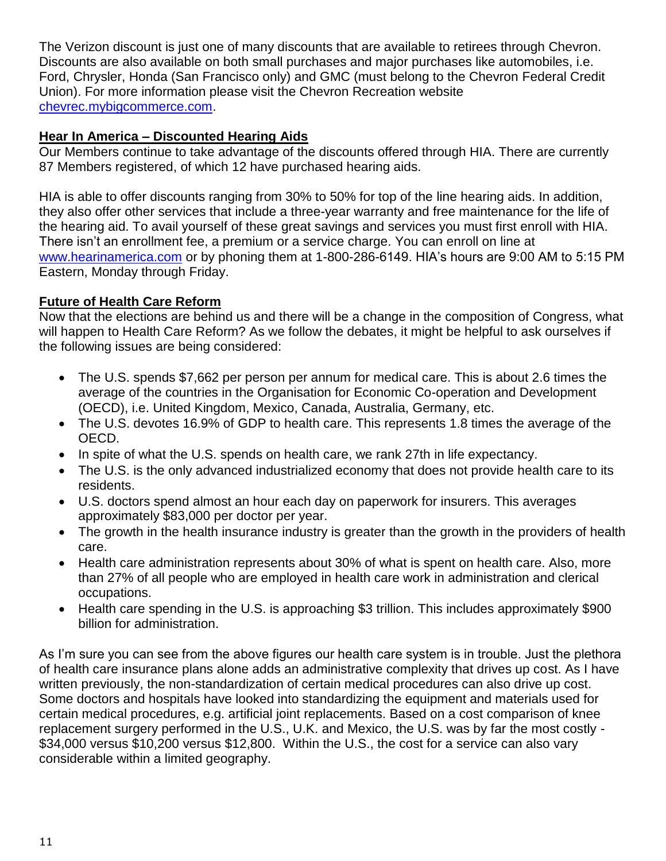The Verizon discount is just one of many discounts that are available to retirees through Chevron. Discounts are also available on both small purchases and major purchases like automobiles, i.e. Ford, Chrysler, Honda (San Francisco only) and GMC (must belong to the Chevron Federal Credit Union). For more information please visit the Chevron Recreation website [chevrec.mybigcommerce.com.](http://chevrec.mybigcommerce.com/)

### **Hear In America – Discounted Hearing Aids**

Our Members continue to take advantage of the discounts offered through HIA. There are currently 87 Members registered, of which 12 have purchased hearing aids.

HIA is able to offer discounts ranging from 30% to 50% for top of the line hearing aids. In addition, they also offer other services that include a three-year warranty and free maintenance for the life of the hearing aid. To avail yourself of these great savings and services you must first enroll with HIA. There isn't an enrollment fee, a premium or a service charge. You can enroll on line at [www.hearinamerica.com](http://www.hearinamerica.com/) or by phoning them at 1-800-286-6149. HIA's hours are 9:00 AM to 5:15 PM Eastern, Monday through Friday.

## **Future of Health Care Reform**

Now that the elections are behind us and there will be a change in the composition of Congress, what will happen to Health Care Reform? As we follow the debates, it might be helpful to ask ourselves if the following issues are being considered:

- The U.S. spends \$7,662 per person per annum for medical care. This is about 2.6 times the average of the countries in the Organisation for Economic Co-operation and Development (OECD), i.e. United Kingdom, Mexico, Canada, Australia, Germany, etc.
- The U.S. devotes 16.9% of GDP to health care. This represents 1.8 times the average of the OECD.
- In spite of what the U.S. spends on health care, we rank 27th in life expectancy.
- The U.S. is the only advanced industrialized economy that does not provide health care to its residents.
- U.S. doctors spend almost an hour each day on paperwork for insurers. This averages approximately \$83,000 per doctor per year.
- The growth in the health insurance industry is greater than the growth in the providers of health care.
- Health care administration represents about 30% of what is spent on health care. Also, more than 27% of all people who are employed in health care work in administration and clerical occupations.
- Health care spending in the U.S. is approaching \$3 trillion. This includes approximately \$900 billion for administration.

As I'm sure you can see from the above figures our health care system is in trouble. Just the plethora of health care insurance plans alone adds an administrative complexity that drives up cost. As I have written previously, the non-standardization of certain medical procedures can also drive up cost. Some doctors and hospitals have looked into standardizing the equipment and materials used for certain medical procedures, e.g. artificial joint replacements. Based on a cost comparison of knee replacement surgery performed in the U.S., U.K. and Mexico, the U.S. was by far the most costly - \$34,000 versus \$10,200 versus \$12,800. Within the U.S., the cost for a service can also vary considerable within a limited geography.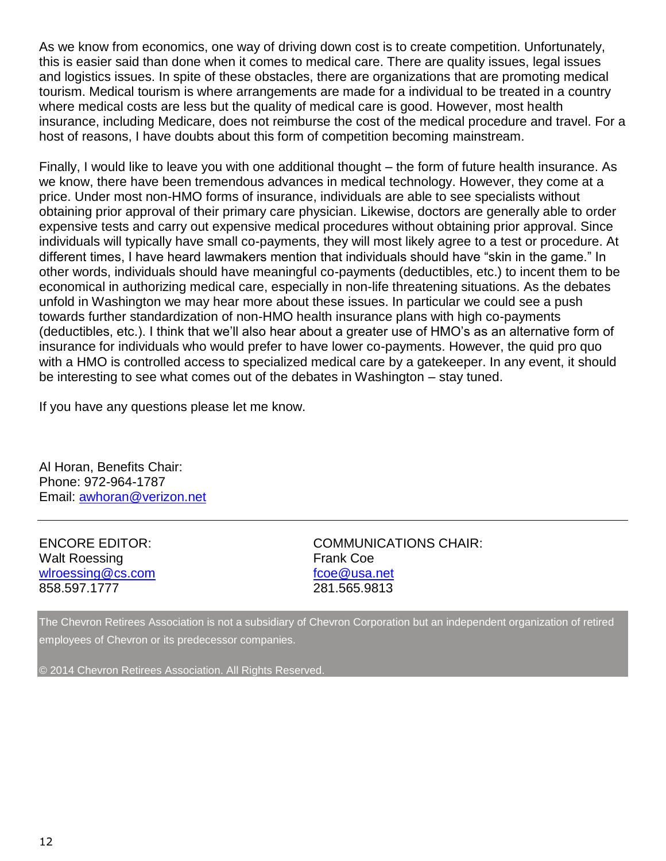As we know from economics, one way of driving down cost is to create competition. Unfortunately, this is easier said than done when it comes to medical care. There are quality issues, legal issues and logistics issues. In spite of these obstacles, there are organizations that are promoting medical tourism. Medical tourism is where arrangements are made for a individual to be treated in a country where medical costs are less but the quality of medical care is good. However, most health insurance, including Medicare, does not reimburse the cost of the medical procedure and travel. For a host of reasons, I have doubts about this form of competition becoming mainstream.

Finally, I would like to leave you with one additional thought – the form of future health insurance. As we know, there have been tremendous advances in medical technology. However, they come at a price. Under most non-HMO forms of insurance, individuals are able to see specialists without obtaining prior approval of their primary care physician. Likewise, doctors are generally able to order expensive tests and carry out expensive medical procedures without obtaining prior approval. Since individuals will typically have small co-payments, they will most likely agree to a test or procedure. At different times, I have heard lawmakers mention that individuals should have "skin in the game." In other words, individuals should have meaningful co-payments (deductibles, etc.) to incent them to be economical in authorizing medical care, especially in non-life threatening situations. As the debates unfold in Washington we may hear more about these issues. In particular we could see a push towards further standardization of non-HMO health insurance plans with high co-payments (deductibles, etc.). I think that we'll also hear about a greater use of HMO's as an alternative form of insurance for individuals who would prefer to have lower co-payments. However, the quid pro quo with a HMO is controlled access to specialized medical care by a gatekeeper. In any event, it should be interesting to see what comes out of the debates in Washington – stay tuned.

If you have any questions please let me know.

Al Horan, Benefits Chair: Phone: 972-964-1787 Email: [awhoran@verizon.net](mailto:awhoran@verizon.net)

Walt Roessing **Frank Coe** [wlroessing@cs.com](mailto:wlroessing@cs.com) [fcoe@usa.net](mailto:fcoe@usa.net) 858.597.1777 281.565.9813

ENCORE EDITOR: COMMUNICATIONS CHAIR:

The Chevron Retirees Association is not a subsidiary of Chevron Corporation but an independent organization of retired employees of Chevron or its predecessor companies.

© 2014 Chevron Retirees Association. All Rights Reserved.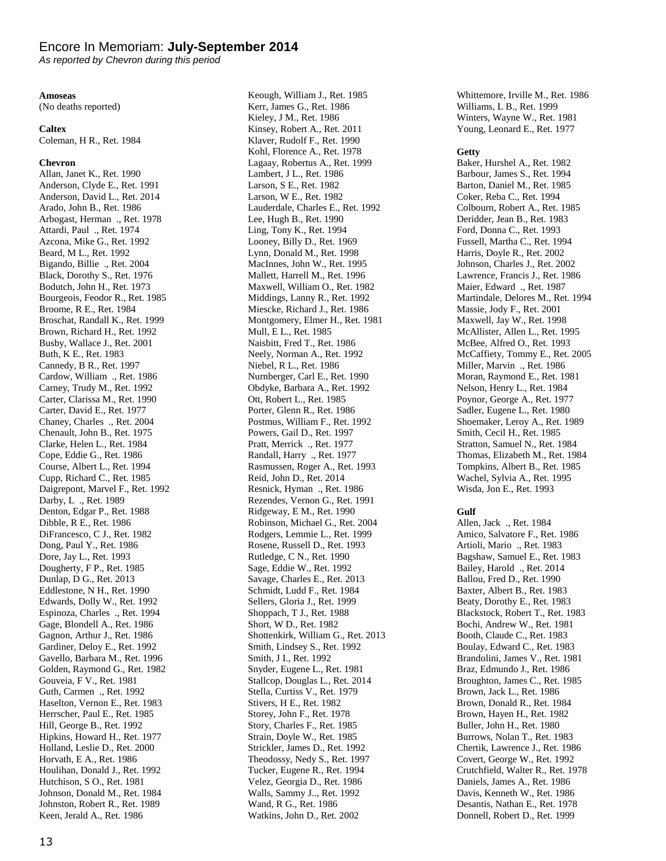#### Encore In Memoriam: **July-September 2014**

*As reported by Chevron during this period*

#### **Amoseas**

(No deaths reported)

#### **Caltex**

Coleman, H R., Ret. 1984

#### **Chevron**

Allan, Janet K., Ret. 1990 Anderson, Clyde E., Ret. 1991 Anderson, David L., Ret. 2014 Arado, John B., Ret. 1986 Arbogast, Herman ., Ret. 1978 Attardi, Paul ., Ret. 1974 Azcona, Mike G., Ret. 1992 Beard, M L., Ret. 1992 Bigando, Billie ., Ret. 2004 Black, Dorothy S., Ret. 1976 Bodutch, John H., Ret. 1973 Bourgeois, Feodor R., Ret. 1985 Broome, R E., Ret. 1984 Broschat, Randall K., Ret. 1999 Brown, Richard H., Ret. 1992 Busby, Wallace J., Ret. 2001 Buth, K E., Ret. 1983 Cannedy, B R., Ret. 1997 Cardow, William ., Ret. 1986 Carney, Trudy M., Ret. 1992 Carter, Clarissa M., Ret. 1990 Carter, David E., Ret. 1977 Chaney, Charles ., Ret. 2004 Chenault, John B., Ret. 1975 Clarke, Helen L., Ret. 1984 Cope, Eddie G., Ret. 1986 Course, Albert L., Ret. 1994 Cupp, Richard C., Ret. 1985 Daigrepont, Marvel F., Ret. 1992 Darby, L ., Ret. 1989 Denton, Edgar P., Ret. 1988 Dibble, R E., Ret. 1986 DiFrancesco, C J., Ret. 1982 Dong, Paul Y., Ret. 1986 Dore, Jay L., Ret. 1993 Dougherty, F P., Ret. 1985 Dunlap, D G., Ret. 2013 Eddlestone, N H., Ret. 1990 Edwards, Dolly W., Ret. 1992 Espinoza, Charles ., Ret. 1994 Gage, Blondell A., Ret. 1986 Gagnon, Arthur J., Ret. 1986 Gardiner, Deloy E., Ret. 1992 Gavello, Barbara M., Ret. 1996 Golden, Raymond G., Ret. 1982 Gouveia, F V., Ret. 1981 Guth, Carmen ., Ret. 1992 Haselton, Vernon E., Ret. 1983 Herrscher, Paul E., Ret. 1985 Hill, George B., Ret. 1992 Hipkins, Howard H., Ret. 1977 Holland, Leslie D., Ret. 2000 Horvath, E A., Ret. 1986 Houlihan, Donald J., Ret. 1992 Hutchison, S O., Ret. 1981 Johnson, Donald M., Ret. 1984 Johnston, Robert R., Ret. 1989 Keen, Jerald A., Ret. 1986

Keough, William J., Ret. 1985 Kerr, James G., Ret. 1986 Kieley, J M., Ret. 1986 Kinsey, Robert A., Ret. 2011 Klaver, Rudolf F., Ret. 1990 Kohl, Florence A., Ret. 1978 Lagaay, Robertus A., Ret. 1999 Lambert, J L., Ret. 1986 Larson, S E., Ret. 1982 Larson, W E., Ret. 1982 Lauderdale, Charles E., Ret. 1992 Lee, Hugh B., Ret. 1990 Ling, Tony K., Ret. 1994 Looney, Billy D., Ret. 1969 Lynn, Donald M., Ret. 1998 MacInnes, John W., Ret. 1995 Mallett, Harrell M., Ret. 1996 Maxwell, William O., Ret. 1982 Middings, Lanny R., Ret. 1992 Miescke, Richard J., Ret. 1986 Montgomery, Elmer H., Ret. 1981 Mull, E L., Ret. 1985 Naisbitt, Fred T., Ret. 1986 Neely, Norman A., Ret. 1992 Niebel, R L., Ret. 1986 Nurnberger, Carl E., Ret. 1990 Obdyke, Barbara A., Ret. 1992 Ott, Robert L., Ret. 1985 Porter, Glenn R., Ret. 1986 Postmus, William F., Ret. 1992 Powers, Gail D., Ret. 1997 Pratt, Merrick ., Ret. 1977 Randall, Harry ., Ret. 1977 Rasmussen, Roger A., Ret. 1993 Reid, John D., Ret. 2014 Resnick, Hyman ., Ret. 1986 Rezendes, Vernon G., Ret. 1991 Ridgeway, E M., Ret. 1990 Robinson, Michael G., Ret. 2004 Rodgers, Lemmie L., Ret. 1999 Rosene, Russell D., Ret. 1993 Rutledge, C N., Ret. 1990 Sage, Eddie W., Ret. 1992 Savage, Charles E., Ret. 2013 Schmidt, Ludd F., Ret. 1984 Sellers, Gloria J., Ret. 1999 Shoppach, T J., Ret. 1988 Short, W D., Ret. 1982 Shottenkirk, William G., Ret. 2013 Smith, Lindsey S., Ret. 1992 Smith, J I., Ret. 1992 Snyder, Eugene L., Ret. 1981 Stallcop, Douglas L., Ret. 2014 Stella, Curtiss V., Ret. 1979 Stivers, H E., Ret. 1982 Storey, John F., Ret. 1978 Story, Charles F., Ret. 1985 Strain, Doyle W., Ret. 1985 Strickler, James D., Ret. 1992 Theodossy, Nedy S., Ret. 1997 Tucker, Eugene R., Ret. 1994 Velez, Georgia D., Ret. 1986 Walls, Sammy J.., Ret. 1992 Wand, R G., Ret. 1986 Watkins, John D., Ret. 2002

Whittemore, Irville M., Ret. 1986 Williams, L B., Ret. 1999 Winters, Wayne W., Ret. 1981 Young, Leonard E., Ret. 1977

#### **Getty**

Baker, Hurshel A., Ret. 1982 Barbour, James S., Ret. 1994 Barton, Daniel M., Ret. 1985 Coker, Reba C., Ret. 1994 Colbourn, Robert A., Ret. 1985 Deridder, Jean B., Ret. 1983 Ford, Donna C., Ret. 1993 Fussell, Martha C., Ret. 1994 Harris, Doyle R., Ret. 2002 Johnson, Charles J., Ret. 2002 Lawrence, Francis J., Ret. 1986 Maier, Edward ., Ret. 1987 Martindale, Delores M., Ret. 1994 Massie, Jody F., Ret. 2001 Maxwell, Jay W., Ret. 1998 McAllister, Allen L., Ret. 1995 McBee, Alfred O., Ret. 1993 McCaffiety, Tommy E., Ret. 2005 Miller, Marvin ., Ret. 1986 Moran, Raymond E., Ret. 1981 Nelson, Henry L., Ret. 1984 Poynor, George A., Ret. 1977 Sadler, Eugene L., Ret. 1980 Shoemaker, Leroy A., Ret. 1989 Smith, Cecil H., Ret. 1985 Stratton, Samuel N., Ret. 1984 Thomas, Elizabeth M., Ret. 1984 Tompkins, Albert B., Ret. 1985 Wachel, Sylvia A., Ret. 1995 Wisda, Jon E., Ret. 1993

#### **Gulf**

Allen, Jack ., Ret. 1984 Amico, Salvatore F., Ret. 1986 Artioli, Mario ., Ret. 1983 Bagshaw, Samuel E., Ret. 1983 Bailey, Harold ., Ret. 2014 Ballou, Fred D., Ret. 1990 Baxter, Albert B., Ret. 1983 Beaty, Dorothy E., Ret. 1983 Blackstock, Robert T., Ret. 1983 Bochi, Andrew W., Ret. 1981 Booth, Claude C., Ret. 1983 Boulay, Edward C., Ret. 1983 Brandolini, James V., Ret. 1981 Braz, Edmundo J., Ret. 1986 Broughton, James C., Ret. 1985 Brown, Jack L., Ret. 1986 Brown, Donald R., Ret. 1984 Brown, Hayen H., Ret. 1982 Buller, John H., Ret. 1980 Burrows, Nolan T., Ret. 1983 Chertik, Lawrence J., Ret. 1986 Covert, George W., Ret. 1992 Crutchfield, Walter R., Ret. 1978 Daniels, James A., Ret. 1986 Davis, Kenneth W., Ret. 1986 Desantis, Nathan E., Ret. 1978 Donnell, Robert D., Ret. 1999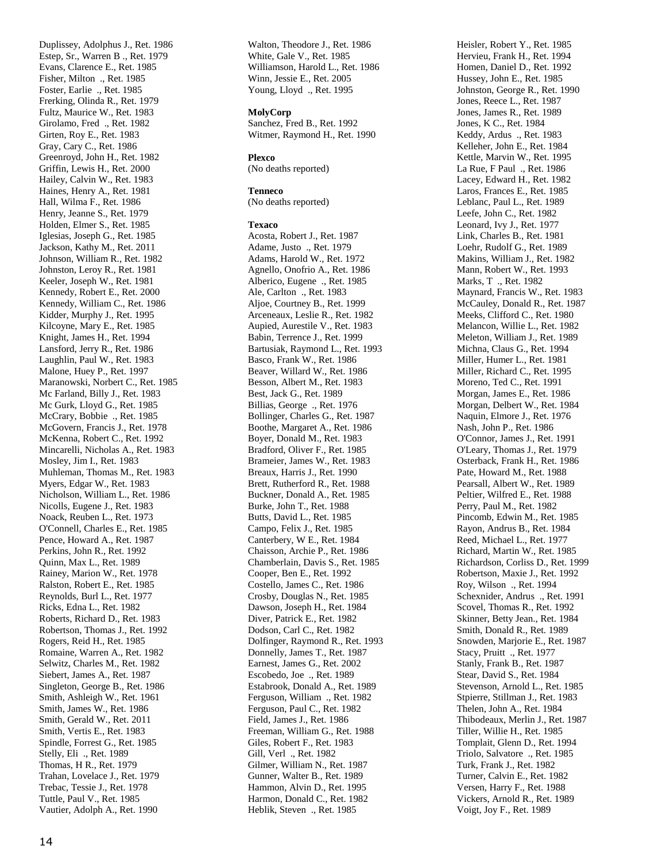Duplissey, Adolphus J., Ret. 1986 Estep, Sr., Warren B ., Ret. 1979 Evans, Clarence E., Ret. 1985 Fisher, Milton ., Ret. 1985 Foster, Earlie ., Ret. 1985 Frerking, Olinda R., Ret. 1979 Fultz, Maurice W., Ret. 1983 Girolamo, Fred ., Ret. 1982 Girten, Roy E., Ret. 1983 Gray, Cary C., Ret. 1986 Greenroyd, John H., Ret. 1982 Griffin, Lewis H., Ret. 2000 Hailey, Calvin W., Ret. 1983 Haines, Henry A., Ret. 1981 Hall, Wilma F., Ret. 1986 Henry, Jeanne S., Ret. 1979 Holden, Elmer S., Ret. 1985 Iglesias, Joseph G., Ret. 1985 Jackson, Kathy M., Ret. 2011 Johnson, William R., Ret. 1982 Johnston, Leroy R., Ret. 1981 Keeler, Joseph W., Ret. 1981 Kennedy, Robert E., Ret. 2000 Kennedy, William C., Ret. 1986 Kidder, Murphy J., Ret. 1995 Kilcoyne, Mary E., Ret. 1985 Knight, James H., Ret. 1994 Lansford, Jerry R., Ret. 1986 Laughlin, Paul W., Ret. 1983 Malone, Huey P., Ret. 1997 Maranowski, Norbert C., Ret. 1985 Mc Farland, Billy J., Ret. 1983 Mc Gurk, Lloyd G., Ret. 1985 McCrary, Bobbie ., Ret. 1985 McGovern, Francis J., Ret. 1978 McKenna, Robert C., Ret. 1992 Mincarelli, Nicholas A., Ret. 1983 Mosley, Jim I., Ret. 1983 Muhleman, Thomas M., Ret. 1983 Myers, Edgar W., Ret. 1983 Nicholson, William L., Ret. 1986 Nicolls, Eugene J., Ret. 1983 Noack, Reuben L., Ret. 1973 O'Connell, Charles E., Ret. 1985 Pence, Howard A., Ret. 1987 Perkins, John R., Ret. 1992 Quinn, Max L., Ret. 1989 Rainey, Marion W., Ret. 1978 Ralston, Robert E., Ret. 1985 Reynolds, Burl L., Ret. 1977 Ricks, Edna L., Ret. 1982 Roberts, Richard D., Ret. 1983 Robertson, Thomas J., Ret. 1992 Rogers, Reid H., Ret. 1985 Romaine, Warren A., Ret. 1982 Selwitz, Charles M., Ret. 1982 Siebert, James A., Ret. 1987 Singleton, George B., Ret. 1986 Smith, Ashleigh W., Ret. 1961 Smith, James W., Ret. 1986 Smith, Gerald W., Ret. 2011 Smith, Vertis E., Ret. 1983 Spindle, Forrest G., Ret. 1985 Stelly, Eli ., Ret. 1989 Thomas, H R., Ret. 1979 Trahan, Lovelace J., Ret. 1979 Trebac, Tessie J., Ret. 1978 Tuttle, Paul V., Ret. 1985 Vautier, Adolph A., Ret. 1990

Walton, Theodore J., Ret. 1986 White, Gale V., Ret. 1985 Williamson, Harold L., Ret. 1986 Winn, Jessie E., Ret. 2005 Young, Lloyd ., Ret. 1995

#### **MolyCorp**

Sanchez, Fred B., Ret. 1992 Witmer, Raymond H., Ret. 1990

#### **Plexco**

(No deaths reported)

#### **Tenneco**

(No deaths reported)

#### **Texaco**

Acosta, Robert J., Ret. 1987 Adame, Justo ., Ret. 1979 Adams, Harold W., Ret. 1972 Agnello, Onofrio A., Ret. 1986 Alberico, Eugene ., Ret. 1985 Ale, Carlton ., Ret. 1983 Aljoe, Courtney B., Ret. 1999 Arceneaux, Leslie R., Ret. 1982 Aupied, Aurestile V., Ret. 1983 Babin, Terrence J., Ret. 1999 Bartusiak, Raymond L., Ret. 1993 Basco, Frank W., Ret. 1986 Beaver, Willard W., Ret. 1986 Besson, Albert M., Ret. 1983 Best, Jack G., Ret. 1989 Billias, George ., Ret. 1976 Bollinger, Charles G., Ret. 1987 Boothe, Margaret A., Ret. 1986 Boyer, Donald M., Ret. 1983 Bradford, Oliver F., Ret. 1985 Brameier, James W., Ret. 1983 Breaux, Harris J., Ret. 1990 Brett, Rutherford R., Ret. 1988 Buckner, Donald A., Ret. 1985 Burke, John T., Ret. 1988 Butts, David L., Ret. 1985 Campo, Felix J., Ret. 1985 Canterbery, W E., Ret. 1984 Chaisson, Archie P., Ret. 1986 Chamberlain, Davis S., Ret. 1985 Cooper, Ben E., Ret. 1992 Costello, James C., Ret. 1986 Crosby, Douglas N., Ret. 1985 Dawson, Joseph H., Ret. 1984 Diver, Patrick E., Ret. 1982 Dodson, Carl C., Ret. 1982 Dolfinger, Raymond R., Ret. 1993 Donnelly, James T., Ret. 1987 Earnest, James G., Ret. 2002 Escobedo, Joe ., Ret. 1989 Estabrook, Donald A., Ret. 1989 Ferguson, William ., Ret. 1982 Ferguson, Paul C., Ret. 1982 Field, James J., Ret. 1986 Freeman, William G., Ret. 1988 Giles, Robert F., Ret. 1983 Gill, Verl ., Ret. 1982 Gilmer, William N., Ret. 1987 Gunner, Walter B., Ret. 1989 Hammon, Alvin D., Ret. 1995 Harmon, Donald C., Ret. 1982 Heblik, Steven ., Ret. 1985

Heisler, Robert Y., Ret. 1985 Hervieu, Frank H., Ret. 1994 Homen, Daniel D., Ret. 1992 Hussey, John E., Ret. 1985 Johnston, George R., Ret. 1990 Jones, Reece L., Ret. 1987 Jones, James R., Ret. 1989 Jones, K C., Ret. 1984 Keddy, Ardus ., Ret. 1983 Kelleher, John E., Ret. 1984 Kettle, Marvin W., Ret. 1995 La Rue, F Paul ., Ret. 1986 Lacey, Edward H., Ret. 1982 Laros, Frances E., Ret. 1985 Leblanc, Paul L., Ret. 1989 Leefe, John C., Ret. 1982 Leonard, Ivy J., Ret. 1977 Link, Charles B., Ret. 1981 Loehr, Rudolf G., Ret. 1989 Makins, William J., Ret. 1982 Mann, Robert W., Ret. 1993 Marks, T ., Ret. 1982 Maynard, Francis W., Ret. 1983 McCauley, Donald R., Ret. 1987 Meeks, Clifford C., Ret. 1980 Melancon, Willie L., Ret. 1982 Meleton, William J., Ret. 1989 Michna, Claus G., Ret. 1994 Miller, Humer L., Ret. 1981 Miller, Richard C., Ret. 1995 Moreno, Ted C., Ret. 1991 Morgan, James E., Ret. 1986 Morgan, Delbert W., Ret. 1984 Naquin, Elmore J., Ret. 1976 Nash, John P., Ret. 1986 O'Connor, James J., Ret. 1991 O'Leary, Thomas J., Ret. 1979 Osterback, Frank H., Ret. 1986 Pate, Howard M., Ret. 1988 Pearsall, Albert W., Ret. 1989 Peltier, Wilfred E., Ret. 1988 Perry, Paul M., Ret. 1982 Pincomb, Edwin M., Ret. 1985 Rayon, Andrus B., Ret. 1984 Reed, Michael L., Ret. 1977 Richard, Martin W., Ret. 1985 Richardson, Corliss D., Ret. 1999 Robertson, Maxie J., Ret. 1992 Roy, Wilson ., Ret. 1994 Schexnider, Andrus ., Ret. 1991 Scovel, Thomas R., Ret. 1992 Skinner, Betty Jean., Ret. 1984 Smith, Donald R., Ret. 1989 Snowden, Marjorie E., Ret. 1987 Stacy, Pruitt ., Ret. 1977 Stanly, Frank B., Ret. 1987 Stear, David S., Ret. 1984 Stevenson, Arnold L., Ret. 1985 Stpierre, Stillman J., Ret. 1983 Thelen, John A., Ret. 1984 Thibodeaux, Merlin J., Ret. 1987 Tiller, Willie H., Ret. 1985 Tomplait, Glenn D., Ret. 1994 Triolo, Salvatore ., Ret. 1985 Turk, Frank J., Ret. 1982 Turner, Calvin E., Ret. 1982 Versen, Harry F., Ret. 1988 Vickers, Arnold R., Ret. 1989 Voigt, Joy F., Ret. 1989